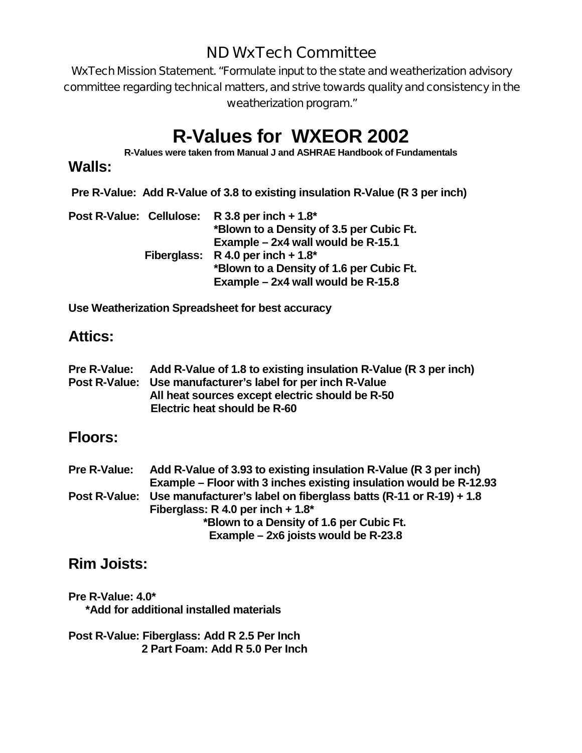# ND WxTech Committee

WxTech Mission Statement. "Formulate input to the state and weatherization advisory committee regarding technical matters, and strive towards quality and consistency in the weatherization program."

# **R-Values for WXEOR 2002**

**R-Values were taken from Manual J and ASHRAE Handbook of Fundamentals**

### **Walls:**

**Pre R-Value: Add R-Value of 3.8 to existing insulation R-Value (R 3 per inch)**

| Post R-Value: Cellulose: | R 3.8 per inch + $1.8^*$                 |  |
|--------------------------|------------------------------------------|--|
|                          | *Blown to a Density of 3.5 per Cubic Ft. |  |
|                          | Example – 2x4 wall would be R-15.1       |  |
|                          | Fiberglass: $R$ 4.0 per inch + 1.8*      |  |
|                          | *Blown to a Density of 1.6 per Cubic Ft. |  |
|                          | Example – 2x4 wall would be R-15.8       |  |

**Use Weatherization Spreadsheet for best accuracy**

# **Attics:**

| <b>Pre R-Value:</b> | Add R-Value of 1.8 to existing insulation R-Value (R 3 per inch) |
|---------------------|------------------------------------------------------------------|
|                     | Post R-Value: Use manufacturer's label for per inch R-Value      |
|                     | All heat sources except electric should be R-50                  |
|                     | Electric heat should be R-60                                     |

# **Floors:**

| <b>Pre R-Value:</b>  | Add R-Value of 3.93 to existing insulation R-Value (R 3 per inch)   |
|----------------------|---------------------------------------------------------------------|
|                      | Example – Floor with 3 inches existing insulation would be R-12.93  |
| <b>Post R-Value:</b> | Use manufacturer's label on fiberglass batts (R-11 or R-19) $+ 1.8$ |
|                      | Fiberglass: R 4.0 per inch $+ 1.8$ <sup>*</sup>                     |
|                      | *Blown to a Density of 1.6 per Cubic Ft.                            |
|                      | Example $-2x6$ joists would be R-23.8                               |

### **Rim Joists:**

**Pre R-Value: 4.0\***

**\*Add for additional installed materials**

**Post R-Value: Fiberglass: Add R 2.5 Per Inch 2 Part Foam: Add R 5.0 Per Inch**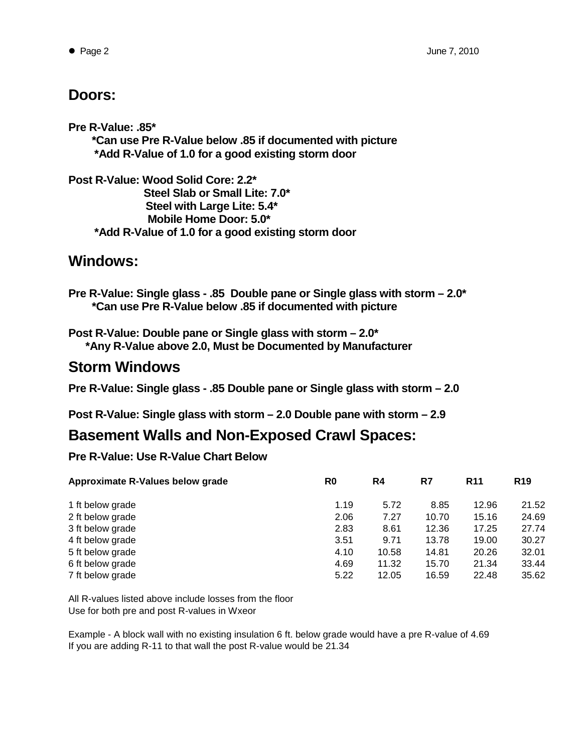#### **Doors:**

**Pre R-Value: .85\* \*Can use Pre R-Value below .85 if documented with picture \*Add R-Value of 1.0 for a good existing storm door**

**Post R-Value: Wood Solid Core: 2.2\* Steel Slab or Small Lite: 7.0\* Steel with Large Lite: 5.4\* Mobile Home Door: 5.0\* \*Add R-Value of 1.0 for a good existing storm door**

#### **Windows:**

**Pre R-Value: Single glass - .85 Double pane or Single glass with storm – 2.0\* \*Can use Pre R-Value below .85 if documented with picture**

**Post R-Value: Double pane or Single glass with storm – 2.0\* \*Any R-Value above 2.0, Must be Documented by Manufacturer**

#### **Storm Windows**

**Pre R-Value: Single glass - .85 Double pane or Single glass with storm – 2.0** 

**Post R-Value: Single glass with storm – 2.0 Double pane with storm – 2.9**

### **Basement Walls and Non-Exposed Crawl Spaces:**

**Pre R-Value: Use R-Value Chart Below**

| Approximate R-Values below grade | R0   | R4    | R7    | <b>R11</b> | R <sub>19</sub> |
|----------------------------------|------|-------|-------|------------|-----------------|
| 1 ft below grade                 | 1.19 | 5.72  | 8.85  | 12.96      | 21.52           |
| 2 ft below grade                 | 2.06 | 7.27  | 10.70 | 15.16      | 24.69           |
| 3 ft below grade                 | 2.83 | 8.61  | 12.36 | 17.25      | 27.74           |
| 4 ft below grade                 | 3.51 | 9.71  | 13.78 | 19.00      | 30.27           |
| 5 ft below grade                 | 4.10 | 10.58 | 14.81 | 20.26      | 32.01           |
| 6 ft below grade                 | 4.69 | 11.32 | 15.70 | 21.34      | 33.44           |
| 7 ft below grade                 | 5.22 | 12.05 | 16.59 | 22.48      | 35.62           |

All R-values listed above include losses from the floor Use for both pre and post R-values in Wxeor

Example - A block wall with no existing insulation 6 ft. below grade would have a pre R-value of 4.69 If you are adding R-11 to that wall the post R-value would be 21.34